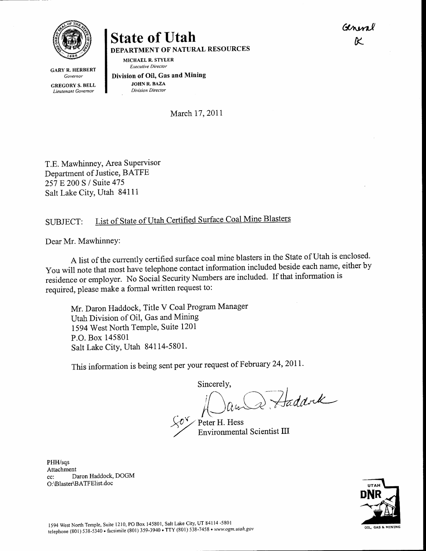Giren  $\overline{\kappa}$ 



GARY R. HERBERT Governor GREGORY S. BELL Lieutenant Governor

## State of Utah

DEPARTMENT OF NATURAL RESOURCES

MICHAEL R. STYLER Executive Director

Division of Oil, Gas and Mining JOHN R. BAZA Division Director

March 17, 2011

T.E. Mawhinney, Area Supervisor Department of Justice, BATFE 257 E 200 S / Suite 475 Salt Lake City, Utah 84111

## List of State of Utah Certified Surface Coal Mine Blasters SIJBJECT:

Dear Mr. Mawhinney:

A list of the currently certified surface coal mine blasters in the State of Utah is enclosed. You will note that most have telephone contact information included beside each name, either by residence or employer. No Social Security Numbers are included. If that information is required, please make a formal written request to:

Mr. Daron Haddock, Title V Coal Program Manager Utah Division of Oil, Gas and Mining 1594 West North Temple, Suite 1201 P.O. Box 145801 Salt Lake City, Utah 84114-5801.

This information is being sent per your request of February 24, 2011.

Sincerely,<br>in and Haddrek

Peter H. Hess Environmental Scientist III

PHH/sqs Attachment cc: Daron Haddock, DOGM O:\Blaster\BATFElist.doc

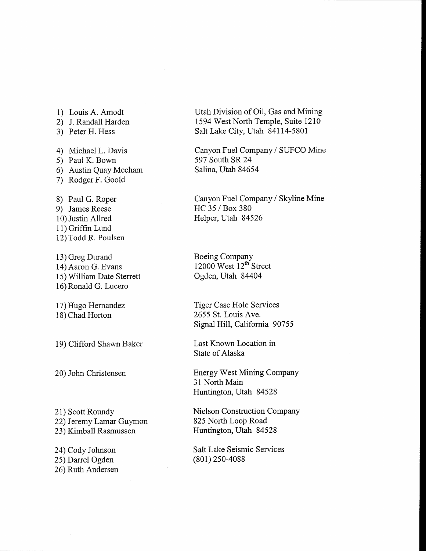1) Louis A. Amodt 2) J. Randall Harden 3) Peter H. Hess 4) Michael L. Davis 5) Paul K. Bown 6) Austin Quay Mecham 7) Rodger F. Goold 8) Paul G. Roper 9) James Reese 10) Justin Allred 11) Griffin Lund 12) Todd R. Poulsen

13) Greg Durand 14) Aaron G. Evans 15) William Date Sterrett 16) Ronald G. Lucero

17) Hugo Hernandez 18) Chad Horton

19) Clifford Shawn Baker

20) John Christensen

21) Scott Roundy 22) Ieremy Lamar Guymon 23) Kimball Rasmussen

24) Cody Johnson 25) Darrel Ogden 26) Ruth Andersen Utah Division of Oil, Gas and Mining 1594 West North Temple, Suite 1210 Salt Lake City, Utah 84114-5801

Canyon Fuel Company / SIJFCO Mine 597 South SR 24 Salina, Utah 84654

Canyon Fuel Company / Skyline Mine HC 35 / Box 380 Helper, Utah 84526

Boeing Company  $12000$  West  $12<sup>th</sup>$  Street Ogden, Utah 84404

Tiger Case Hole Services 2655 St. Louis Ave. Signal Hill, California 90755

Last Known Location in State of Alaska

Energy West Mining Company 31 North Main Huntington, Utah 84528

Nielson Construction Company 825 North Loop Road Huntington, Utah 84528

Salt Lake Seismic Services (801) 2s0-4088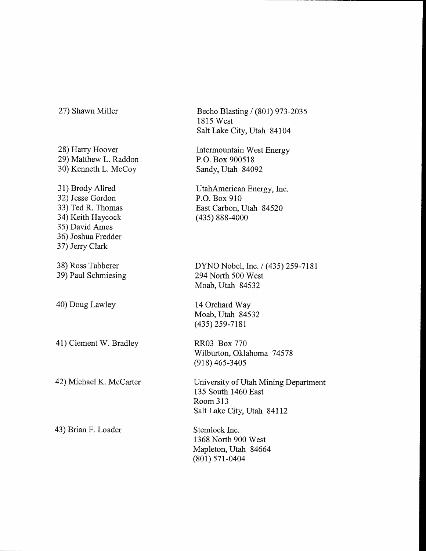## 27) Shawn Miller

28) Harry Hoover 29) Matthew L. Raddon 30) Kenneth L. McCoy 31) Brody Allred 32) Jesse Gordon 33) Ted R. Thomas 34) Keith Haycock 35) David Ames 36) Joshua Fredder 37) Jerry Clark 38) Ross Tabberer 39) Paul Schmiesing 40) Doug Lawley 41) Clement W. Bradley 42) Michael K. McCarter 43) Brian F. Loader

Becho Blasting / (801) 973-2035 <sup>1</sup>815 West Salt Lake City, Utah 84104

Intermountain West Energy P,O. Box 900518 Sandy, Utah 84092

UtahAmerican Energy, Inc. P.O. Box 910 East Carbon, Utah 84520 (435) 888-4000

DYNO Nobel, Inc. / (435) 259-7181 294 North 500 West Moab, Utah 84532

14 Orchard Way Moab, Utah 84532  $(435)$  259-7181

RR03 Box770 Wilburton, Oklahoma 74578  $(918)$  465-3405

University of Utah Mining Department 135 South 1460 East Room 313 Salt Lake City, Utah 84II2

Stemlock Inc. 1368 North 900 West Mapleton, Utah 84664 (801) s7r-0404